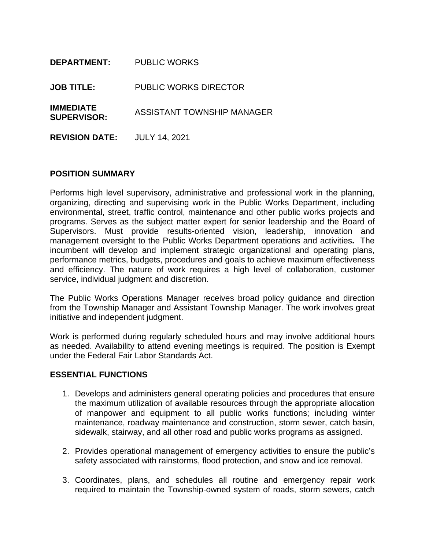| <b>DEPARTMENT:</b>                     | <b>PUBLIC WORKS</b>          |
|----------------------------------------|------------------------------|
| <b>JOB TITLE:</b>                      | <b>PUBLIC WORKS DIRECTOR</b> |
| <b>IMMEDIATE</b><br><b>SUPERVISOR:</b> | ASSISTANT TOWNSHIP MANAGER   |
| <b>REVISION DATE:</b>                  | <b>JULY 14, 2021</b>         |

#### **POSITION SUMMARY**

Performs high level supervisory, administrative and professional work in the planning, organizing, directing and supervising work in the Public Works Department, including environmental, street, traffic control, maintenance and other public works projects and programs. Serves as the subject matter expert for senior leadership and the Board of Supervisors. Must provide results-oriented vision, leadership, innovation and management oversight to the Public Works Department operations and activities**.** The incumbent will develop and implement strategic organizational and operating plans, performance metrics, budgets, procedures and goals to achieve maximum effectiveness and efficiency. The nature of work requires a high level of collaboration, customer service, individual judgment and discretion.

The Public Works Operations Manager receives broad policy guidance and direction from the Township Manager and Assistant Township Manager. The work involves great initiative and independent judgment.

Work is performed during regularly scheduled hours and may involve additional hours as needed. Availability to attend evening meetings is required. The position is Exempt under the Federal Fair Labor Standards Act.

#### **ESSENTIAL FUNCTIONS**

- 1. Develops and administers general operating policies and procedures that ensure the maximum utilization of available resources through the appropriate allocation of manpower and equipment to all public works functions; including winter maintenance, roadway maintenance and construction, storm sewer, catch basin, sidewalk, stairway, and all other road and public works programs as assigned.
- 2. Provides operational management of emergency activities to ensure the public's safety associated with rainstorms, flood protection, and snow and ice removal.
- 3. Coordinates, plans, and schedules all routine and emergency repair work required to maintain the Township-owned system of roads, storm sewers, catch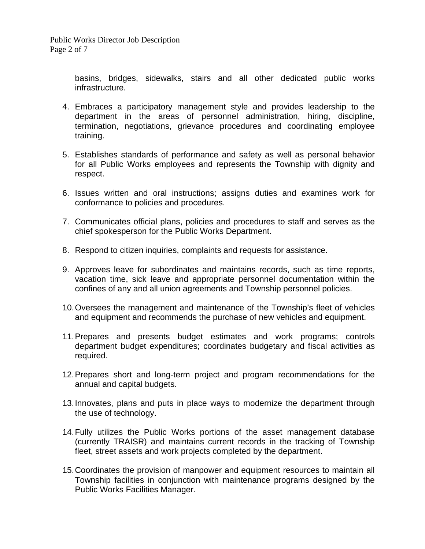basins, bridges, sidewalks, stairs and all other dedicated public works infrastructure.

- 4. Embraces a participatory management style and provides leadership to the department in the areas of personnel administration, hiring, discipline, termination, negotiations, grievance procedures and coordinating employee training.
- 5. Establishes standards of performance and safety as well as personal behavior for all Public Works employees and represents the Township with dignity and respect.
- 6. Issues written and oral instructions; assigns duties and examines work for conformance to policies and procedures.
- 7. Communicates official plans, policies and procedures to staff and serves as the chief spokesperson for the Public Works Department.
- 8. Respond to citizen inquiries, complaints and requests for assistance.
- 9. Approves leave for subordinates and maintains records, such as time reports, vacation time, sick leave and appropriate personnel documentation within the confines of any and all union agreements and Township personnel policies.
- 10.Oversees the management and maintenance of the Township's fleet of vehicles and equipment and recommends the purchase of new vehicles and equipment.
- 11.Prepares and presents budget estimates and work programs; controls department budget expenditures; coordinates budgetary and fiscal activities as required.
- 12.Prepares short and long-term project and program recommendations for the annual and capital budgets.
- 13.Innovates, plans and puts in place ways to modernize the department through the use of technology.
- 14.Fully utilizes the Public Works portions of the asset management database (currently TRAISR) and maintains current records in the tracking of Township fleet, street assets and work projects completed by the department.
- 15.Coordinates the provision of manpower and equipment resources to maintain all Township facilities in conjunction with maintenance programs designed by the Public Works Facilities Manager.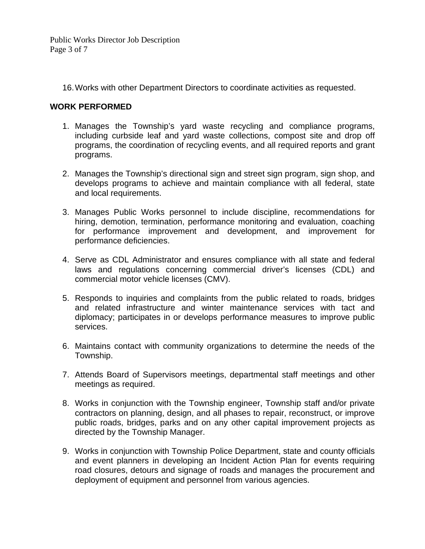Public Works Director Job Description Page 3 of 7

16.Works with other Department Directors to coordinate activities as requested.

# **WORK PERFORMED**

- 1. Manages the Township's yard waste recycling and compliance programs, including curbside leaf and yard waste collections, compost site and drop off programs, the coordination of recycling events, and all required reports and grant programs.
- 2. Manages the Township's directional sign and street sign program, sign shop, and develops programs to achieve and maintain compliance with all federal, state and local requirements.
- 3. Manages Public Works personnel to include discipline, recommendations for hiring, demotion, termination, performance monitoring and evaluation, coaching for performance improvement and development, and improvement for performance deficiencies.
- 4. Serve as CDL Administrator and ensures compliance with all state and federal laws and regulations concerning commercial driver's licenses (CDL) and commercial motor vehicle licenses (CMV).
- 5. Responds to inquiries and complaints from the public related to roads, bridges and related infrastructure and winter maintenance services with tact and diplomacy; participates in or develops performance measures to improve public services.
- 6. Maintains contact with community organizations to determine the needs of the Township.
- 7. Attends Board of Supervisors meetings, departmental staff meetings and other meetings as required.
- 8. Works in conjunction with the Township engineer, Township staff and/or private contractors on planning, design, and all phases to repair, reconstruct, or improve public roads, bridges, parks and on any other capital improvement projects as directed by the Township Manager.
- 9. Works in conjunction with Township Police Department, state and county officials and event planners in developing an Incident Action Plan for events requiring road closures, detours and signage of roads and manages the procurement and deployment of equipment and personnel from various agencies.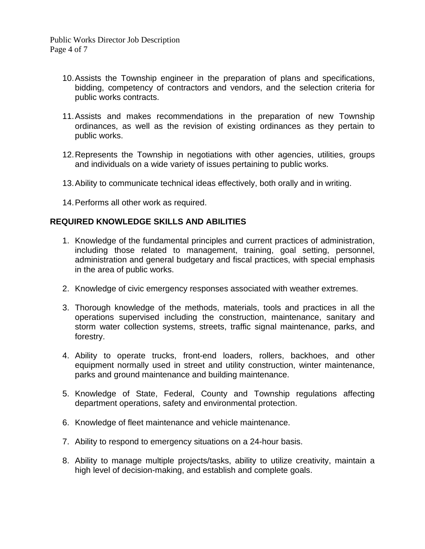- 10.Assists the Township engineer in the preparation of plans and specifications, bidding, competency of contractors and vendors, and the selection criteria for public works contracts.
- 11.Assists and makes recommendations in the preparation of new Township ordinances, as well as the revision of existing ordinances as they pertain to public works.
- 12.Represents the Township in negotiations with other agencies, utilities, groups and individuals on a wide variety of issues pertaining to public works.
- 13.Ability to communicate technical ideas effectively, both orally and in writing.
- 14.Performs all other work as required.

### **REQUIRED KNOWLEDGE SKILLS AND ABILITIES**

- 1. Knowledge of the fundamental principles and current practices of administration, including those related to management, training, goal setting, personnel, administration and general budgetary and fiscal practices, with special emphasis in the area of public works.
- 2. Knowledge of civic emergency responses associated with weather extremes.
- 3. Thorough knowledge of the methods, materials, tools and practices in all the operations supervised including the construction, maintenance, sanitary and storm water collection systems, streets, traffic signal maintenance, parks, and forestry.
- 4. Ability to operate trucks, front-end loaders, rollers, backhoes, and other equipment normally used in street and utility construction, winter maintenance, parks and ground maintenance and building maintenance.
- 5. Knowledge of State, Federal, County and Township regulations affecting department operations, safety and environmental protection.
- 6. Knowledge of fleet maintenance and vehicle maintenance.
- 7. Ability to respond to emergency situations on a 24-hour basis.
- 8. Ability to manage multiple projects/tasks, ability to utilize creativity, maintain a high level of decision-making, and establish and complete goals.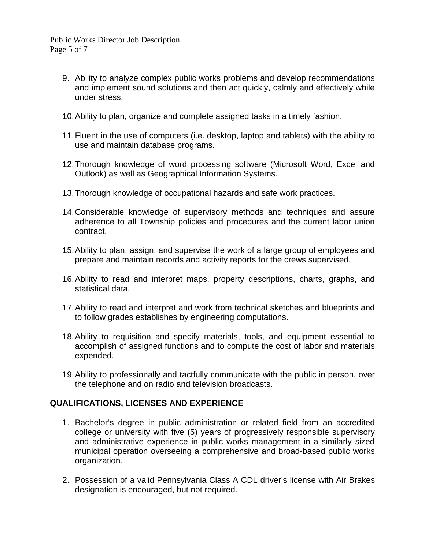Public Works Director Job Description Page 5 of 7

- 9. Ability to analyze complex public works problems and develop recommendations and implement sound solutions and then act quickly, calmly and effectively while under stress.
- 10.Ability to plan, organize and complete assigned tasks in a timely fashion.
- 11.Fluent in the use of computers (i.e. desktop, laptop and tablets) with the ability to use and maintain database programs.
- 12.Thorough knowledge of word processing software (Microsoft Word, Excel and Outlook) as well as Geographical Information Systems.
- 13.Thorough knowledge of occupational hazards and safe work practices.
- 14.Considerable knowledge of supervisory methods and techniques and assure adherence to all Township policies and procedures and the current labor union contract.
- 15.Ability to plan, assign, and supervise the work of a large group of employees and prepare and maintain records and activity reports for the crews supervised.
- 16.Ability to read and interpret maps, property descriptions, charts, graphs, and statistical data.
- 17.Ability to read and interpret and work from technical sketches and blueprints and to follow grades establishes by engineering computations.
- 18.Ability to requisition and specify materials, tools, and equipment essential to accomplish of assigned functions and to compute the cost of labor and materials expended.
- 19.Ability to professionally and tactfully communicate with the public in person, over the telephone and on radio and television broadcasts.

### **QUALIFICATIONS, LICENSES AND EXPERIENCE**

- 1. Bachelor's degree in public administration or related field from an accredited college or university with five (5) years of progressively responsible supervisory and administrative experience in public works management in a similarly sized municipal operation overseeing a comprehensive and broad-based public works organization.
- 2. Possession of a valid Pennsylvania Class A CDL driver's license with Air Brakes designation is encouraged, but not required.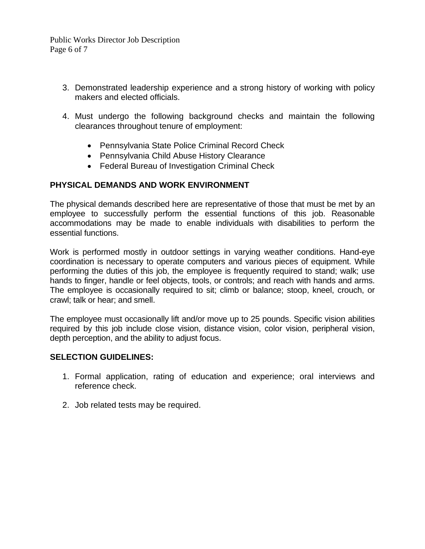Public Works Director Job Description Page 6 of 7

- 3. Demonstrated leadership experience and a strong history of working with policy makers and elected officials.
- 4. Must undergo the following background checks and maintain the following clearances throughout tenure of employment:
	- Pennsylvania State Police Criminal Record Check
	- Pennsylvania Child Abuse History Clearance
	- Federal Bureau of Investigation Criminal Check

# **PHYSICAL DEMANDS AND WORK ENVIRONMENT**

The physical demands described here are representative of those that must be met by an employee to successfully perform the essential functions of this job. Reasonable accommodations may be made to enable individuals with disabilities to perform the essential functions.

Work is performed mostly in outdoor settings in varying weather conditions. Hand-eye coordination is necessary to operate computers and various pieces of equipment. While performing the duties of this job, the employee is frequently required to stand; walk; use hands to finger, handle or feel objects, tools, or controls; and reach with hands and arms. The employee is occasionally required to sit; climb or balance; stoop, kneel, crouch, or crawl; talk or hear; and smell.

The employee must occasionally lift and/or move up to 25 pounds. Specific vision abilities required by this job include close vision, distance vision, color vision, peripheral vision, depth perception, and the ability to adjust focus.

### **SELECTION GUIDELINES:**

- 1. Formal application, rating of education and experience; oral interviews and reference check.
- 2. Job related tests may be required.